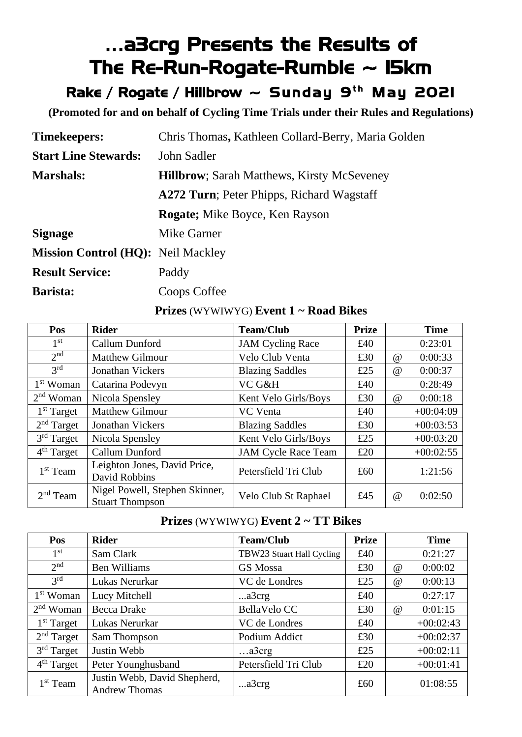# …a3crg Presents the Results of The Re-Run-Rogate-Rumble  $\sim$  15km

Rake / Rogate / Hillbrow  $\sim$  Sunday 9th May 2021

**(Promoted for and on behalf of Cycling Time Trials under their Rules and Regulations)**

| <b>Timekeepers:</b>                       | Chris Thomas, Kathleen Collard-Berry, Maria Golden |
|-------------------------------------------|----------------------------------------------------|
| <b>Start Line Stewards:</b>               | John Sadler                                        |
| <b>Marshals:</b>                          | <b>Hillbrow</b> ; Sarah Matthews, Kirsty McSeveney |
|                                           | <b>A272 Turn</b> ; Peter Phipps, Richard Wagstaff  |
|                                           | <b>Rogate</b> ; Mike Boyce, Ken Rayson             |
| <b>Signage</b>                            | Mike Garner                                        |
| <b>Mission Control (HQ): Neil Mackley</b> |                                                    |
| <b>Result Service:</b>                    | Paddy                                              |
| Barista:                                  | Coops Coffee                                       |

#### **Prizes** (WYWIWYG) **Event 1 ~ Road Bikes**

| Pos                    | <b>Rider</b>                                             | <b>Team/Club</b>           | <b>Prize</b> |          | <b>Time</b> |
|------------------------|----------------------------------------------------------|----------------------------|--------------|----------|-------------|
| 1 <sup>st</sup>        | Callum Dunford                                           | <b>JAM Cycling Race</b>    | £40          |          | 0:23:01     |
| 2 <sub>nd</sub>        | <b>Matthew Gilmour</b>                                   | Velo Club Venta            | £30          | $\omega$ | 0:00:33     |
| 3 <sup>rd</sup>        | <b>Jonathan Vickers</b>                                  | <b>Blazing Saddles</b>     | £25          | $\omega$ | 0:00:37     |
| 1 <sup>st</sup> Woman  | Catarina Podevyn                                         | VC G&H                     | £40          |          | 0:28:49     |
| $2nd$ Woman            | Nicola Spensley                                          | Kent Velo Girls/Boys       | £30          | $\omega$ | 0:00:18     |
| $1st$ Target           | <b>Matthew Gilmour</b>                                   | <b>VC</b> Venta            | £40          |          | $+00:04:09$ |
| 2 <sup>nd</sup> Target | <b>Jonathan Vickers</b>                                  | <b>Blazing Saddles</b>     | £30          |          | $+00:03:53$ |
| $3rd$ Target           | Nicola Spensley                                          | Kent Velo Girls/Boys       | £25          |          | $+00:03:20$ |
| 4 <sup>th</sup> Target | Callum Dunford                                           | <b>JAM Cycle Race Team</b> | £20          |          | $+00:02:55$ |
| $1st$ Team             | Leighton Jones, David Price,<br>David Robbins            | Petersfield Tri Club       | £60          |          | 1:21:56     |
| $2nd$ Team             | Nigel Powell, Stephen Skinner,<br><b>Stuart Thompson</b> | Velo Club St Raphael       | £45          | $\omega$ | 0:02:50     |

#### **Prizes** (WYWIWYG) **Event 2 ~ TT Bikes**

| Pos                    | <b>Rider</b>                                         | <b>Team/Club</b>          | <b>Prize</b> |          | <b>Time</b> |
|------------------------|------------------------------------------------------|---------------------------|--------------|----------|-------------|
| 1 <sup>st</sup>        | Sam Clark                                            | TBW23 Stuart Hall Cycling | £40          |          | 0:21:27     |
| 2 <sup>nd</sup>        | <b>Ben Williams</b>                                  | GS Mossa                  | £30          | $\omega$ | 0:00:02     |
| 3 <sup>rd</sup>        | Lukas Nerurkar                                       | VC de Londres             | £25          | @        | 0:00:13     |
| $1st$ Woman            | Lucy Mitchell                                        | a3crg                     | £40          |          | 0:27:17     |
| $2nd$ Woman            | <b>Becca Drake</b>                                   | <b>BellaVelo CC</b>       | £30          | @        | 0:01:15     |
| $1st$ Target           | Lukas Nerurkar                                       | VC de Londres             | £40          |          | $+00:02:43$ |
| 2 <sup>nd</sup> Target | Sam Thompson                                         | Podium Addict             | £30          |          | $+00:02:37$ |
| $3rd$ Target           | Justin Webb                                          | a3crg                     | £25          |          | $+00:02:11$ |
| 4 <sup>th</sup> Target | Peter Younghusband                                   | Petersfield Tri Club      | £20          |          | $+00:01:41$ |
| $1st$ Team             | Justin Webb, David Shepherd,<br><b>Andrew Thomas</b> | a3crg                     | £60          |          | 01:08:55    |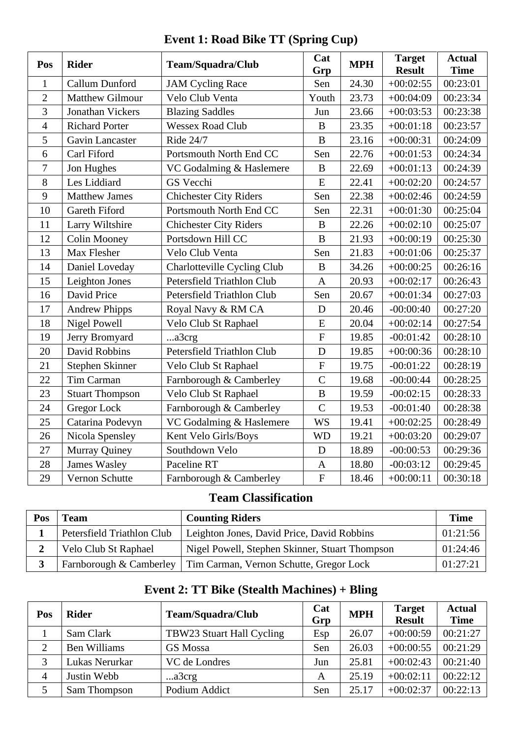| Pos            | <b>Rider</b>           | Team/Squadra/Club                 | Cat<br>Grp                | <b>MPH</b> | <b>Target</b><br><b>Result</b> | <b>Actual</b><br><b>Time</b> |
|----------------|------------------------|-----------------------------------|---------------------------|------------|--------------------------------|------------------------------|
| $\mathbf{1}$   | Callum Dunford         | <b>JAM Cycling Race</b>           | Sen                       | 24.30      | $+00:02:55$                    | 00:23:01                     |
| $\overline{2}$ | <b>Matthew Gilmour</b> | Velo Club Venta                   | Youth                     | 23.73      | $+00:04:09$                    | 00:23:34                     |
| 3              | Jonathan Vickers       | <b>Blazing Saddles</b>            | Jun                       | 23.66      | $+00:03:53$                    | 00:23:38                     |
| $\overline{4}$ | <b>Richard Porter</b>  | <b>Wessex Road Club</b>           | B                         | 23.35      | $+00:01:18$                    | 00:23:57                     |
| 5              | <b>Gavin Lancaster</b> | Ride 24/7                         | $\bf{B}$                  | 23.16      | $+00:00:31$                    | 00:24:09                     |
| 6              | Carl Fiford            | Portsmouth North End CC           | Sen                       | 22.76      | $+00:01:53$                    | 00:24:34                     |
| $\overline{7}$ | Jon Hughes             | VC Godalming & Haslemere          | $\bf{B}$                  | 22.69      | $+00:01:13$                    | 00:24:39                     |
| 8              | Les Liddiard           | GS Vecchi                         | E                         | 22.41      | $+00:02:20$                    | 00:24:57                     |
| 9              | <b>Matthew James</b>   | <b>Chichester City Riders</b>     | Sen                       | 22.38      | $+00:02:46$                    | 00:24:59                     |
| 10             | Gareth Fiford          | Portsmouth North End CC           | Sen                       | 22.31      | $+00:01:30$                    | 00:25:04                     |
| 11             | Larry Wiltshire        | <b>Chichester City Riders</b>     | B                         | 22.26      | $+00:02:10$                    | 00:25:07                     |
| 12             | <b>Colin Mooney</b>    | Portsdown Hill CC                 | $\bf{B}$                  | 21.93      | $+00:00:19$                    | 00:25:30                     |
| 13             | Max Flesher            | Velo Club Venta                   | Sen                       | 21.83      | $+00:01:06$                    | 00:25:37                     |
| 14             | Daniel Loveday         | Charlotteville Cycling Club       | B                         | 34.26      | $+00:00:25$                    | 00:26:16                     |
| 15             | Leighton Jones         | <b>Petersfield Triathlon Club</b> | $\mathbf{A}$              | 20.93      | $+00:02:17$                    | 00:26:43                     |
| 16             | David Price            | Petersfield Triathlon Club        | Sen                       | 20.67      | $+00:01:34$                    | 00:27:03                     |
| 17             | <b>Andrew Phipps</b>   | Royal Navy & RM CA                | D                         | 20.46      | $-00:00:40$                    | 00:27:20                     |
| 18             | <b>Nigel Powell</b>    | Velo Club St Raphael              | E                         | 20.04      | $+00:02:14$                    | 00:27:54                     |
| 19             | Jerry Bromyard         | a3crg                             | ${\bf F}$                 | 19.85      | $-00:01:42$                    | 00:28:10                     |
| 20             | <b>David Robbins</b>   | <b>Petersfield Triathlon Club</b> | D                         | 19.85      | $+00:00:36$                    | 00:28:10                     |
| 21             | Stephen Skinner        | Velo Club St Raphael              | ${\bf F}$                 | 19.75      | $-00:01:22$                    | 00:28:19                     |
| 22             | Tim Carman             | Farnborough & Camberley           | $\overline{C}$            | 19.68      | $-00:00:44$                    | 00:28:25                     |
| 23             | <b>Stuart Thompson</b> | Velo Club St Raphael              | $\, {\bf B}$              | 19.59      | $-00:02:15$                    | 00:28:33                     |
| 24             | <b>Gregor Lock</b>     | Farnborough & Camberley           | $\overline{C}$            | 19.53      | $-00:01:40$                    | 00:28:38                     |
| 25             | Catarina Podevyn       | VC Godalming & Haslemere          | <b>WS</b>                 | 19.41      | $+00:02:25$                    | 00:28:49                     |
| 26             | Nicola Spensley        | Kent Velo Girls/Boys              | <b>WD</b>                 | 19.21      | $+00:03:20$                    | 00:29:07                     |
| 27             | Murray Quiney          | Southdown Velo                    | D                         | 18.89      | $-00:00:53$                    | 00:29:36                     |
| 28             | <b>James Wasley</b>    | Paceline RT                       | $\mathbf{A}$              | 18.80      | $-00:03:12$                    | 00:29:45                     |
| 29             | Vernon Schutte         | Farnborough & Camberley           | $\boldsymbol{\mathrm{F}}$ | 18.46      | $+00:00:11$                    | 00:30:18                     |

## **Event 1: Road Bike TT (Spring Cup)**

# **Team Classification**

| Pos | <b>Team</b>                | <b>Counting Riders</b>                                            | <b>Time</b> |
|-----|----------------------------|-------------------------------------------------------------------|-------------|
|     | Petersfield Triathlon Club | Leighton Jones, David Price, David Robbins                        | 01:21:56    |
|     | Velo Club St Raphael       | Nigel Powell, Stephen Skinner, Stuart Thompson                    | 01:24:46    |
|     |                            | Farnborough & Camberley   Tim Carman, Vernon Schutte, Gregor Lock | 01:27:21    |

## **Event 2: TT Bike (Stealth Machines) + Bling**

| Pos            | <b>Rider</b>        | <b>Team/Squadra/Club</b>  | Cat<br>Grp | <b>MPH</b> | <b>Target</b><br><b>Result</b> | <b>Actual</b><br><b>Time</b> |
|----------------|---------------------|---------------------------|------------|------------|--------------------------------|------------------------------|
|                | Sam Clark           | TBW23 Stuart Hall Cycling | Esp        | 26.07      | $+00:00:59$                    | 00:21:27                     |
| $\overline{2}$ | <b>Ben Williams</b> | GS Mossa                  | Sen        | 26.03      | $+00:00:55$                    | 00:21:29                     |
| 3              | Lukas Nerurkar      | VC de Londres             | Jun        | 25.81      | $+00:02:43$                    | 00:21:40                     |
| $\overline{4}$ | Justin Webb         | a3crg                     | A          | 25.19      | $+00:02:11$                    | 00:22:12                     |
| 5              | Sam Thompson        | Podium Addict             | Sen        | 25.17      | $+00:02:37$                    | 00:22:13                     |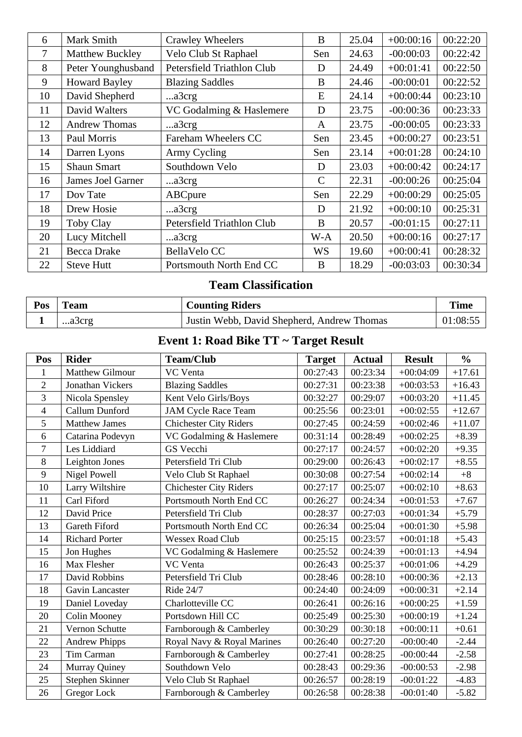| 6  | Mark Smith             | <b>Crawley Wheelers</b>    | B            | 25.04 | $+00:00:16$ | 00:22:20 |
|----|------------------------|----------------------------|--------------|-------|-------------|----------|
| 7  | <b>Matthew Buckley</b> | Velo Club St Raphael       | Sen          | 24.63 | $-00:00:03$ | 00:22:42 |
| 8  | Peter Younghusband     | Petersfield Triathlon Club | D            | 24.49 | $+00:01:41$ | 00:22:50 |
| 9  | <b>Howard Bayley</b>   | <b>Blazing Saddles</b>     | B            | 24.46 | $-00:00:01$ | 00:22:52 |
| 10 | David Shepherd         | a3crg                      | E            | 24.14 | $+00:00:44$ | 00:23:10 |
| 11 | David Walters          | VC Godalming & Haslemere   | D            | 23.75 | $-00:00:36$ | 00:23:33 |
| 12 | <b>Andrew Thomas</b>   | a3crg                      | A            | 23.75 | $-00:00:05$ | 00:23:33 |
| 13 | Paul Morris            | Fareham Wheelers CC        | Sen          | 23.45 | $+00:00:27$ | 00:23:51 |
| 14 | Darren Lyons           | Army Cycling               | Sen          | 23.14 | $+00:01:28$ | 00:24:10 |
| 15 | <b>Shaun Smart</b>     | Southdown Velo             | D            | 23.03 | $+00:00:42$ | 00:24:17 |
| 16 | James Joel Garner      | a3crg                      | $\mathsf{C}$ | 22.31 | $-00:00:26$ | 00:25:04 |
| 17 | Dov Tate               | ABCpure                    | Sen          | 22.29 | $+00:00:29$ | 00:25:05 |
| 18 | Drew Hosie             | a3crg                      | D            | 21.92 | $+00:00:10$ | 00:25:31 |
| 19 | Toby Clay              | Petersfield Triathlon Club | B            | 20.57 | $-00:01:15$ | 00:27:11 |
| 20 | Lucy Mitchell          | a3crg                      | W-A          | 20.50 | $+00:00:16$ | 00:27:17 |
| 21 | Becca Drake            | BellaVelo CC               | <b>WS</b>    | 19.60 | $+00:00:41$ | 00:28:32 |
| 22 | <b>Steve Hutt</b>      | Portsmouth North End CC    | B            | 18.29 | $-00:03:03$ | 00:30:34 |
|    |                        |                            |              |       |             |          |

## **Team Classification**

| Pos | <b>Team</b> | <b>Counting Riders</b>                     | <b>Time</b> |
|-----|-------------|--------------------------------------------|-------------|
|     | a3crg       | Justin Webb, David Shepherd, Andrew Thomas | 01:08:55    |

## **Event 1: Road Bike TT ~ Target Result**

| Pos            | <b>Rider</b>          | <b>Team/Club</b>              | <b>Target</b> | <b>Actual</b> | <b>Result</b> | $\frac{0}{0}$ |
|----------------|-----------------------|-------------------------------|---------------|---------------|---------------|---------------|
| 1              | Matthew Gilmour       | VC Venta                      | 00:27:43      | 00:23:34      | $+00:04:09$   | $+17.61$      |
| $\overline{2}$ | Jonathan Vickers      | <b>Blazing Saddles</b>        | 00:27:31      | 00:23:38      | $+00:03:53$   | $+16.43$      |
| 3              | Nicola Spensley       | Kent Velo Girls/Boys          | 00:32:27      | 00:29:07      | $+00:03:20$   | $+11.45$      |
| $\overline{4}$ | Callum Dunford        | <b>JAM Cycle Race Team</b>    | 00:25:56      | 00:23:01      | $+00:02:55$   | $+12.67$      |
| 5              | <b>Matthew James</b>  | <b>Chichester City Riders</b> | 00:27:45      | 00:24:59      | $+00:02:46$   | $+11.07$      |
| 6              | Catarina Podevyn      | VC Godalming & Haslemere      | 00:31:14      | 00:28:49      | $+00:02:25$   | $+8.39$       |
| 7              | Les Liddiard          | GS Vecchi                     | 00:27:17      | 00:24:57      | $+00:02:20$   | $+9.35$       |
| $8\,$          | Leighton Jones        | Petersfield Tri Club          | 00:29:00      | 00:26:43      | $+00:02:17$   | $+8.55$       |
| 9              | Nigel Powell          | Velo Club St Raphael          | 00:30:08      | 00:27:54      | $+00:02:14$   | $+8$          |
| 10             | Larry Wiltshire       | <b>Chichester City Riders</b> | 00:27:17      | 00:25:07      | $+00:02:10$   | $+8.63$       |
| 11             | Carl Fiford           | Portsmouth North End CC       | 00:26:27      | 00:24:34      | $+00:01:53$   | $+7.67$       |
| 12             | David Price           | Petersfield Tri Club          | 00:28:37      | 00:27:03      | $+00:01:34$   | $+5.79$       |
| 13             | Gareth Fiford         | Portsmouth North End CC       | 00:26:34      | 00:25:04      | $+00:01:30$   | $+5.98$       |
| 14             | <b>Richard Porter</b> | <b>Wessex Road Club</b>       | 00:25:15      | 00:23:57      | $+00:01:18$   | $+5.43$       |
| 15             | Jon Hughes            | VC Godalming & Haslemere      | 00:25:52      | 00:24:39      | $+00:01:13$   | $+4.94$       |
| 16             | Max Flesher           | VC Venta                      | 00:26:43      | 00:25:37      | $+00:01:06$   | $+4.29$       |
| 17             | David Robbins         | Petersfield Tri Club          | 00:28:46      | 00:28:10      | $+00:00:36$   | $+2.13$       |
| 18             | Gavin Lancaster       | Ride 24/7                     | 00:24:40      | 00:24:09      | $+00:00:31$   | $+2.14$       |
| 19             | Daniel Loveday        | Charlotteville CC             | 00:26:41      | 00:26:16      | $+00:00:25$   | $+1.59$       |
| 20             | <b>Colin Mooney</b>   | Portsdown Hill CC             | 00:25:49      | 00:25:30      | $+00:00:19$   | $+1.24$       |
| 21             | Vernon Schutte        | Farnborough & Camberley       | 00:30:29      | 00:30:18      | $+00:00:11$   | $+0.61$       |
| 22             | <b>Andrew Phipps</b>  | Royal Navy & Royal Marines    | 00:26:40      | 00:27:20      | $-00:00:40$   | $-2.44$       |
| 23             | Tim Carman            | Farnborough & Camberley       | 00:27:41      | 00:28:25      | $-00:00:44$   | $-2.58$       |
| 24             | Murray Quiney         | Southdown Velo                | 00:28:43      | 00:29:36      | $-00:00:53$   | $-2.98$       |
| 25             | Stephen Skinner       | Velo Club St Raphael          | 00:26:57      | 00:28:19      | $-00:01:22$   | $-4.83$       |
| 26             | Gregor Lock           | Farnborough & Camberley       | 00:26:58      | 00:28:38      | $-00:01:40$   | $-5.82$       |